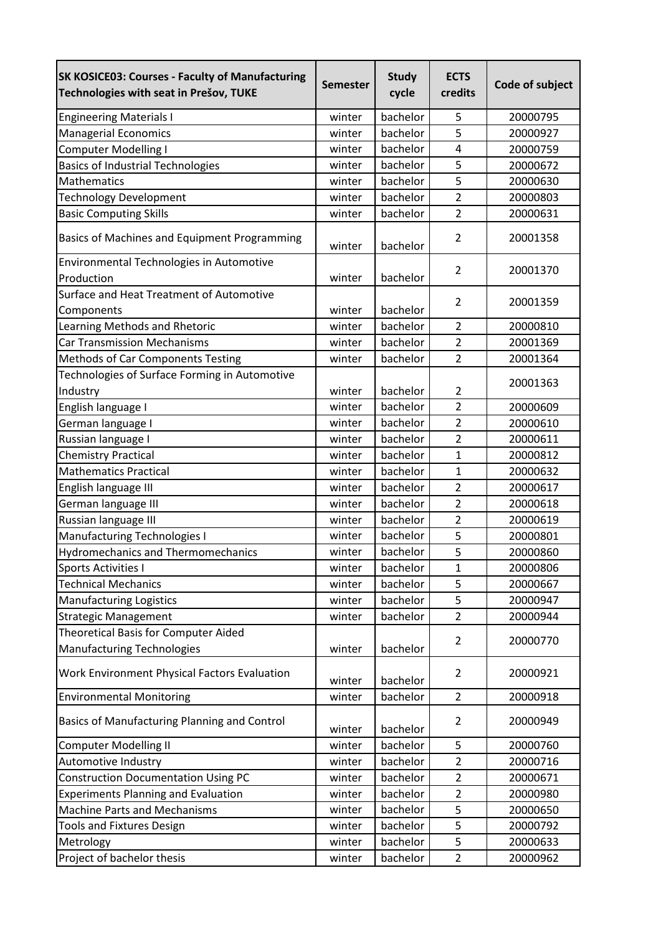| <b>SK KOSICE03: Courses - Faculty of Manufacturing</b><br>Technologies with seat in Prešov, TUKE | <b>Semester</b> | <b>Study</b><br>cycle | <b>ECTS</b><br>credits | Code of subject |
|--------------------------------------------------------------------------------------------------|-----------------|-----------------------|------------------------|-----------------|
| <b>Engineering Materials I</b>                                                                   | winter          | bachelor              | 5                      | 20000795        |
| <b>Managerial Economics</b>                                                                      | winter          | bachelor              | 5                      | 20000927        |
| <b>Computer Modelling I</b>                                                                      | winter          | bachelor              | 4                      | 20000759        |
| <b>Basics of Industrial Technologies</b>                                                         | winter          | bachelor              | 5                      | 20000672        |
| <b>Mathematics</b>                                                                               | winter          | bachelor              | 5                      | 20000630        |
| <b>Technology Development</b>                                                                    | winter          | bachelor              | $\overline{2}$         | 20000803        |
| <b>Basic Computing Skills</b>                                                                    | winter          | bachelor              | $\overline{2}$         | 20000631        |
| Basics of Machines and Equipment Programming                                                     | winter          | bachelor              | $\overline{2}$         | 20001358        |
| Environmental Technologies in Automotive                                                         |                 |                       | 2                      | 20001370        |
| Production                                                                                       | winter          | bachelor              |                        |                 |
| Surface and Heat Treatment of Automotive                                                         |                 |                       | $\overline{2}$         | 20001359        |
| Components                                                                                       | winter          | bachelor              |                        |                 |
| Learning Methods and Rhetoric                                                                    | winter          | bachelor              | $\overline{2}$         | 20000810        |
| <b>Car Transmission Mechanisms</b>                                                               | winter          | bachelor              | $\overline{2}$         | 20001369        |
| Methods of Car Components Testing                                                                | winter          | bachelor              | $\overline{2}$         | 20001364        |
| Technologies of Surface Forming in Automotive<br>Industry                                        | winter          | bachelor              | $\overline{2}$         | 20001363        |
| English language I                                                                               | winter          | bachelor              | $\overline{2}$         | 20000609        |
| German language I                                                                                | winter          | bachelor              | $\overline{2}$         | 20000610        |
| Russian language I                                                                               | winter          | bachelor              | $\overline{2}$         | 20000611        |
| <b>Chemistry Practical</b>                                                                       | winter          | bachelor              | $\mathbf{1}$           | 20000812        |
| <b>Mathematics Practical</b>                                                                     | winter          | bachelor              | $\mathbf{1}$           | 20000632        |
| English language III                                                                             | winter          | bachelor              | $\overline{2}$         | 20000617        |
| German language III                                                                              | winter          | bachelor              | $\overline{2}$         | 20000618        |
| Russian language III                                                                             | winter          | bachelor              | $\overline{2}$         | 20000619        |
| <b>Manufacturing Technologies I</b>                                                              | winter          | bachelor              | 5                      | 20000801        |
| <b>Hydromechanics and Thermomechanics</b>                                                        | winter          | bachelor              | 5                      | 20000860        |
| <b>Sports Activities I</b>                                                                       | winter          | bachelor              | 1                      | 20000806        |
| <b>Technical Mechanics</b>                                                                       | winter          | bachelor              | 5                      | 20000667        |
| <b>Manufacturing Logistics</b>                                                                   | winter          | bachelor              | 5                      | 20000947        |
| <b>Strategic Management</b>                                                                      | winter          | bachelor              | $\overline{2}$         | 20000944        |
| Theoretical Basis for Computer Aided<br><b>Manufacturing Technologies</b>                        | winter          | bachelor              | $\overline{2}$         | 20000770        |
| Work Environment Physical Factors Evaluation                                                     | winter          | bachelor              | $\overline{2}$         | 20000921        |
| <b>Environmental Monitoring</b>                                                                  | winter          | bachelor              | $\overline{2}$         | 20000918        |
| Basics of Manufacturing Planning and Control                                                     | winter          | bachelor              | $\overline{2}$         | 20000949        |
| <b>Computer Modelling II</b>                                                                     | winter          | bachelor              | 5                      | 20000760        |
| Automotive Industry                                                                              | winter          | bachelor              | $\overline{2}$         | 20000716        |
| <b>Construction Documentation Using PC</b>                                                       | winter          | bachelor              | $\overline{2}$         | 20000671        |
| <b>Experiments Planning and Evaluation</b>                                                       | winter          | bachelor              | $\overline{2}$         | 20000980        |
| <b>Machine Parts and Mechanisms</b>                                                              | winter          | bachelor              | 5                      | 20000650        |
| <b>Tools and Fixtures Design</b>                                                                 | winter          | bachelor              | 5                      | 20000792        |
| Metrology                                                                                        | winter          | bachelor              | 5                      | 20000633        |
| Project of bachelor thesis                                                                       | winter          | bachelor              | $\overline{2}$         | 20000962        |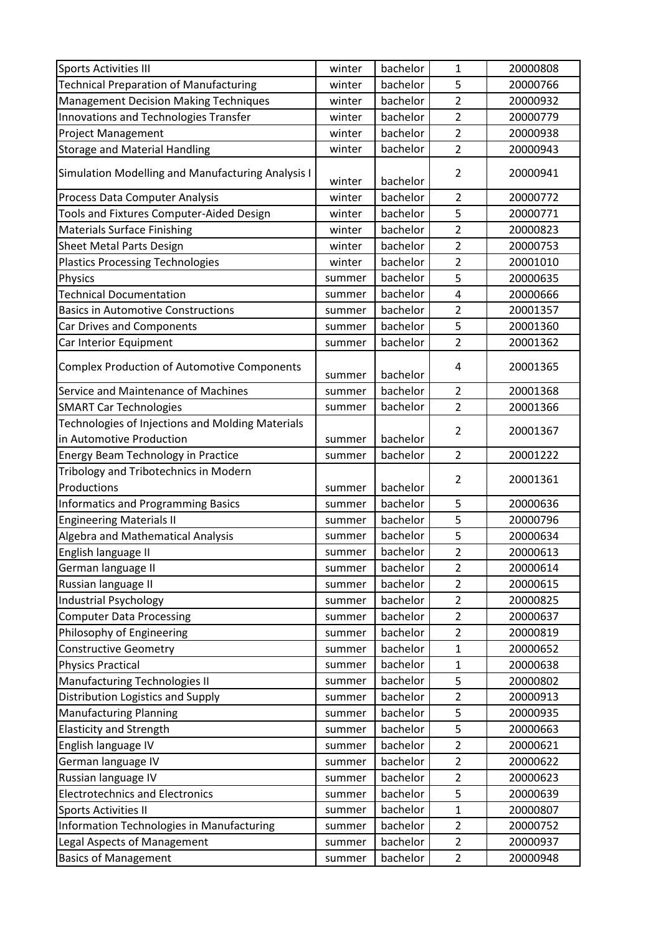| Sports Activities III                              | winter | bachelor | 1<br>5                  | 20000808 |
|----------------------------------------------------|--------|----------|-------------------------|----------|
| <b>Technical Preparation of Manufacturing</b>      | winter | bachelor |                         | 20000766 |
| <b>Management Decision Making Techniques</b>       | winter | bachelor | $\overline{2}$          | 20000932 |
| Innovations and Technologies Transfer              | winter | bachelor | $\overline{2}$          | 20000779 |
| <b>Project Management</b>                          | winter | bachelor | $\overline{2}$          | 20000938 |
| <b>Storage and Material Handling</b>               | winter | bachelor | $\overline{2}$          | 20000943 |
| Simulation Modelling and Manufacturing Analysis I  | winter | bachelor | $\overline{2}$          | 20000941 |
| Process Data Computer Analysis                     | winter | bachelor | $\overline{2}$          | 20000772 |
| Tools and Fixtures Computer-Aided Design           | winter | bachelor | 5                       | 20000771 |
| <b>Materials Surface Finishing</b>                 | winter | bachelor | $\overline{2}$          | 20000823 |
| <b>Sheet Metal Parts Design</b>                    | winter | bachelor | $\overline{2}$          | 20000753 |
| <b>Plastics Processing Technologies</b>            | winter | bachelor | $\overline{2}$          | 20001010 |
| Physics                                            | summer | bachelor | 5                       | 20000635 |
| <b>Technical Documentation</b>                     | summer | bachelor | 4                       | 20000666 |
| <b>Basics in Automotive Constructions</b>          | summer | bachelor | $\overline{2}$          | 20001357 |
| Car Drives and Components                          | summer | bachelor | 5                       | 20001360 |
| Car Interior Equipment                             | summer | bachelor | $\overline{2}$          | 20001362 |
| <b>Complex Production of Automotive Components</b> | summer | bachelor | 4                       | 20001365 |
| Service and Maintenance of Machines                | summer | bachelor | $\overline{2}$          | 20001368 |
| <b>SMART Car Technologies</b>                      | summer | bachelor | $\overline{2}$          | 20001366 |
| Technologies of Injections and Molding Materials   |        |          |                         |          |
| in Automotive Production                           | summer | bachelor | $\overline{2}$          | 20001367 |
| Energy Beam Technology in Practice                 | summer | bachelor | $\overline{2}$          | 20001222 |
| Tribology and Tribotechnics in Modern              |        |          |                         |          |
| Productions                                        | summer | bachelor | $\overline{2}$          | 20001361 |
| <b>Informatics and Programming Basics</b>          | summer | bachelor | 5                       | 20000636 |
| <b>Engineering Materials II</b>                    | summer | bachelor | 5                       | 20000796 |
| <b>Algebra and Mathematical Analysis</b>           | summer | bachelor | 5                       | 20000634 |
| English language II                                | summer | bachelor | $\overline{\mathbf{c}}$ | 20000613 |
| German language II                                 | summer | bachelor | $\overline{2}$          | 20000614 |
| Russian language II                                | summer | bachelor | $\overline{2}$          | 20000615 |
| <b>Industrial Psychology</b>                       | summer | bachelor | $\overline{2}$          | 20000825 |
| <b>Computer Data Processing</b>                    | summer | bachelor | $\overline{2}$          | 20000637 |
| Philosophy of Engineering                          | summer | bachelor | $\overline{2}$          | 20000819 |
| <b>Constructive Geometry</b>                       | summer | bachelor | $\mathbf{1}$            | 20000652 |
| <b>Physics Practical</b>                           | summer | bachelor | $\mathbf{1}$            | 20000638 |
| Manufacturing Technologies II                      | summer | bachelor | 5                       | 20000802 |
| Distribution Logistics and Supply                  | summer | bachelor | $\overline{c}$          | 20000913 |
| <b>Manufacturing Planning</b>                      | summer | bachelor | 5                       | 20000935 |
| <b>Elasticity and Strength</b>                     | summer | bachelor | 5                       | 20000663 |
| English language IV                                | summer | bachelor | $\overline{c}$          | 20000621 |
| German language IV                                 | summer | bachelor | $\overline{2}$          | 20000622 |
| Russian language IV                                | summer | bachelor | $\overline{c}$          | 20000623 |
| <b>Electrotechnics and Electronics</b>             | summer | bachelor | 5                       | 20000639 |
| <b>Sports Activities II</b>                        | summer | bachelor | $\mathbf{1}$            | 20000807 |
| Information Technologies in Manufacturing          | summer | bachelor | $\overline{2}$          | 20000752 |
| Legal Aspects of Management                        | summer | bachelor | $\overline{2}$          | 20000937 |
| <b>Basics of Management</b>                        | summer | bachelor | $\overline{2}$          | 20000948 |
|                                                    |        |          |                         |          |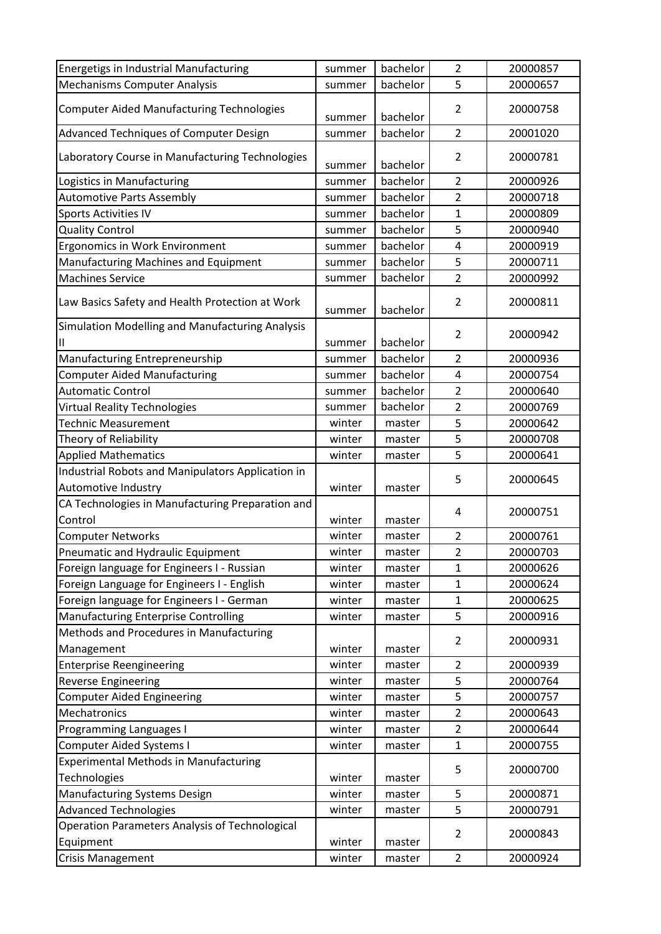| 5<br><b>Mechanisms Computer Analysis</b><br>bachelor<br>20000657<br>summer                                    |  |
|---------------------------------------------------------------------------------------------------------------|--|
|                                                                                                               |  |
| <b>Computer Aided Manufacturing Technologies</b><br>20000758<br>$\overline{2}$<br>bachelor<br>summer          |  |
| bachelor<br>$\overline{2}$<br>Advanced Techniques of Computer Design<br>20001020<br>summer                    |  |
| Laboratory Course in Manufacturing Technologies<br>$\overline{2}$<br>20000781<br>bachelor<br>summer           |  |
| $\overline{2}$<br>bachelor<br>Logistics in Manufacturing<br>20000926<br>summer                                |  |
| <b>Automotive Parts Assembly</b><br>bachelor<br>$\overline{2}$<br>20000718<br>summer                          |  |
| <b>Sports Activities IV</b><br>bachelor<br>1<br>20000809<br>summer                                            |  |
| 5<br><b>Quality Control</b><br>20000940<br>bachelor<br>summer                                                 |  |
| bachelor<br>$\pmb{4}$<br>Ergonomics in Work Environment<br>20000919<br>summer                                 |  |
| 5<br>Manufacturing Machines and Equipment<br>bachelor<br>20000711<br>summer                                   |  |
| $\overline{2}$<br><b>Machines Service</b><br>bachelor<br>20000992<br>summer                                   |  |
| $\overline{2}$<br>Law Basics Safety and Health Protection at Work<br>20000811<br>bachelor<br>summer           |  |
| Simulation Modelling and Manufacturing Analysis<br>$\overline{2}$<br>20000942<br>bachelor<br>Ш<br>summer      |  |
| $\overline{2}$<br>Manufacturing Entrepreneurship<br>bachelor<br>20000936<br>summer                            |  |
| <b>Computer Aided Manufacturing</b><br>bachelor<br>4<br>20000754<br>summer                                    |  |
| $\overline{2}$<br><b>Automatic Control</b><br>20000640<br>bachelor<br>summer                                  |  |
| $\overline{2}$<br>bachelor<br>20000769<br><b>Virtual Reality Technologies</b><br>summer                       |  |
| 5<br>20000642<br><b>Technic Measurement</b><br>winter<br>master                                               |  |
| 5<br>20000708<br>Theory of Reliability<br>winter<br>master                                                    |  |
| 5<br><b>Applied Mathematics</b><br>20000641<br>winter<br>master                                               |  |
| Industrial Robots and Manipulators Application in<br>5<br>20000645<br>Automotive Industry<br>winter<br>master |  |
| CA Technologies in Manufacturing Preparation and<br>4<br>20000751                                             |  |
| Control<br>winter<br>master                                                                                   |  |
| $\overline{2}$<br>20000761<br><b>Computer Networks</b><br>winter<br>master                                    |  |
| 2<br>Pneumatic and Hydraulic Equipment<br>20000703<br>winter<br>master                                        |  |
| 20000626<br>Foreign language for Engineers I - Russian<br>1<br>winter<br>master                               |  |
| Foreign Language for Engineers I - English<br>$\mathbf{1}$<br>20000624<br>winter<br>master                    |  |
| Foreign language for Engineers I - German<br>20000625<br>winter<br>master<br>1                                |  |
| Manufacturing Enterprise Controlling<br>5<br>20000916<br>winter<br>master                                     |  |
| Methods and Procedures in Manufacturing<br>20000931<br>$\overline{2}$<br>Management<br>winter<br>master       |  |
| winter<br>20000939<br><b>Enterprise Reengineering</b><br>$\overline{2}$<br>master                             |  |
| 5<br>20000764<br><b>Reverse Engineering</b><br>winter<br>master                                               |  |
| 5<br>20000757<br><b>Computer Aided Engineering</b><br>winter<br>master                                        |  |
| Mechatronics<br>$\overline{2}$<br>20000643<br>winter<br>master                                                |  |
| Programming Languages I<br>$\overline{2}$<br>20000644<br>winter<br>master                                     |  |
| <b>Computer Aided Systems I</b><br>$\mathbf{1}$<br>20000755<br>winter<br>master                               |  |
| <b>Experimental Methods in Manufacturing</b><br>5<br>20000700                                                 |  |
| Technologies<br>winter<br>master                                                                              |  |
| Manufacturing Systems Design<br>5<br>winter<br>20000871<br>master                                             |  |
| <b>Advanced Technologies</b><br>5<br>20000791<br>winter<br>master                                             |  |
| Operation Parameters Analysis of Technological<br>20000843<br>$\overline{2}$<br>Equipment<br>winter<br>master |  |
| $\overline{2}$<br>20000924<br><b>Crisis Management</b><br>winter<br>master                                    |  |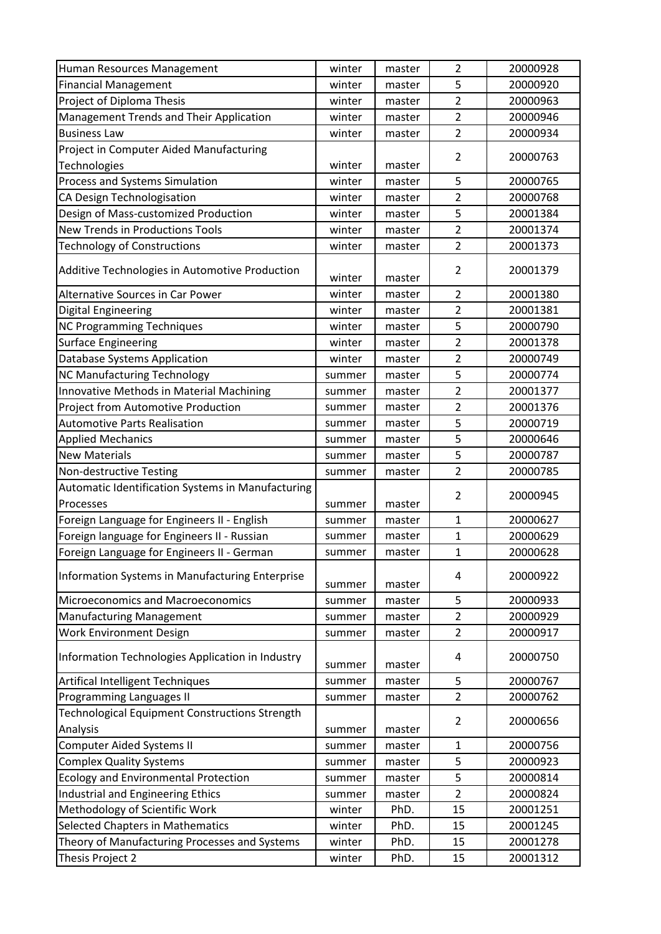| Human Resources Management                                        | winter | master | $\overline{2}$ | 20000928             |
|-------------------------------------------------------------------|--------|--------|----------------|----------------------|
| <b>Financial Management</b>                                       | winter | master | 5              | 20000920             |
| Project of Diploma Thesis                                         | winter | master | $\overline{2}$ | 20000963             |
| Management Trends and Their Application                           | winter | master | $\overline{2}$ | 20000946             |
| <b>Business Law</b>                                               | winter | master | $\overline{2}$ | 20000934             |
| Project in Computer Aided Manufacturing                           |        |        |                |                      |
| Technologies                                                      | winter | master | $\overline{2}$ | 20000763             |
| Process and Systems Simulation                                    | winter | master | 5              | 20000765             |
| CA Design Technologisation                                        | winter | master | $\overline{2}$ | 20000768             |
| Design of Mass-customized Production                              | winter | master | 5              | 20001384             |
| <b>New Trends in Productions Tools</b>                            | winter | master | $\overline{2}$ | 20001374             |
| <b>Technology of Constructions</b>                                | winter | master | $\overline{2}$ | 20001373             |
| Additive Technologies in Automotive Production                    | winter | master | $\overline{2}$ | 20001379             |
| Alternative Sources in Car Power                                  | winter | master | $\overline{2}$ | 20001380             |
| <b>Digital Engineering</b>                                        | winter | master | $\overline{2}$ | 20001381             |
| <b>NC Programming Techniques</b>                                  | winter | master | 5              | 20000790             |
| <b>Surface Engineering</b>                                        | winter | master | $\overline{2}$ | 20001378             |
| <b>Database Systems Application</b>                               | winter | master | $\overline{2}$ | 20000749             |
| NC Manufacturing Technology                                       | summer | master | 5              | 20000774             |
| Innovative Methods in Material Machining                          | summer | master | $\overline{2}$ | 20001377             |
| Project from Automotive Production                                | summer | master | $\overline{2}$ | 20001376             |
| <b>Automotive Parts Realisation</b>                               | summer | master | 5              | 20000719             |
| <b>Applied Mechanics</b>                                          | summer | master | 5              | 20000646             |
| <b>New Materials</b>                                              | summer | master | 5              | 20000787             |
|                                                                   |        |        |                |                      |
| Non-destructive Testing                                           | summer | master | $\overline{2}$ | 20000785             |
| Automatic Identification Systems in Manufacturing                 |        |        |                |                      |
| Processes                                                         | summer | master | $\overline{2}$ | 20000945             |
| Foreign Language for Engineers II - English                       | summer | master | 1              | 20000627             |
| Foreign language for Engineers II - Russian                       | summer | master | $\mathbf{1}$   | 20000629             |
| Foreign Language for Engineers II - German                        | summer | master | $\mathbf{1}$   | 20000628             |
| Information Systems in Manufacturing Enterprise                   | summer | master | 4              | 20000922             |
| Microeconomics and Macroeconomics                                 | summer | master | 5              | 20000933             |
| <b>Manufacturing Management</b>                                   | summer | master | $\overline{2}$ | 20000929             |
| <b>Work Environment Design</b>                                    | summer | master | $\overline{2}$ | 20000917             |
| Information Technologies Application in Industry                  | summer | master | 4              | 20000750             |
| Artifical Intelligent Techniques                                  | summer | master | 5              | 20000767             |
| Programming Languages II                                          | summer | master | $\overline{2}$ | 20000762             |
| <b>Technological Equipment Constructions Strength</b>             |        |        |                |                      |
| Analysis                                                          | summer | master | $\overline{2}$ | 20000656             |
| <b>Computer Aided Systems II</b>                                  | summer | master | 1              | 20000756             |
| <b>Complex Quality Systems</b>                                    | summer | master | 5              | 20000923             |
| <b>Ecology and Environmental Protection</b>                       | summer | master | 5              | 20000814             |
| Industrial and Engineering Ethics                                 | summer | master | $\overline{2}$ | 20000824             |
| Methodology of Scientific Work                                    | winter | PhD.   | 15             | 20001251             |
| <b>Selected Chapters in Mathematics</b>                           | winter | PhD.   | 15             | 20001245             |
| Theory of Manufacturing Processes and Systems<br>Thesis Project 2 | winter | PhD.   | 15             | 20001278<br>20001312 |